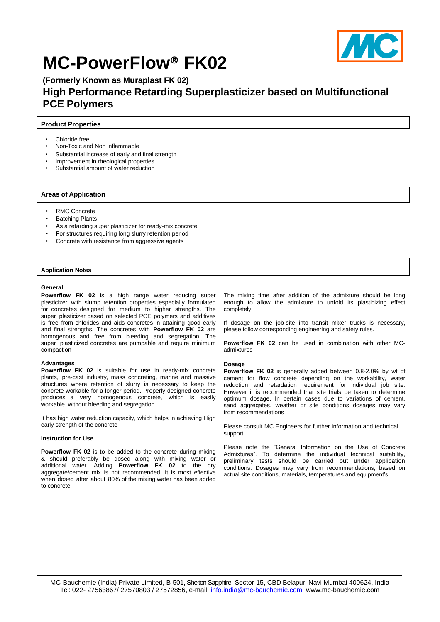

# **MC-PowerFlow® FK02**

**(Formerly Known as Muraplast FK 02)**

# **High Performance Retarding Superplasticizer based on Multifunctional PCE Polymers**

# **Product Properties**

- Chloride free
- Non-Toxic and Non inflammable
- Substantial increase of early and final strength
- Improvement in rheological properties
- Substantial amount of water reduction

## **Areas of Application**

- RMC Concrete
- Batching Plants
- As a retarding super plasticizer for ready-mix concrete
- For structures requiring long slurry retention period
- Concrete with resistance from aggressive agents

#### **Application Notes**

#### **General**

**Powerflow FK 02** is a high range water reducing super plasticizer with slump retention properties especially formulated for concretes designed for medium to higher strengths. The super plasticizer based on selected PCE polymers and additives is free from chlorides and aids concretes in attaining good early and final strengths. The concretes with **Powerflow FK 02** are homogenous and free from bleeding and segregation. The super plasticized concretes are pumpable and require minimum compaction

#### **Advantages**

**Powerflow FK 02** is suitable for use in ready-mix concrete plants, pre-cast industry, mass concreting, marine and massive structures where retention of slurry is necessary to keep the concrete workable for a longer period. Properly designed concrete produces a very homogenous concrete, which is easily workable without bleeding and segregation

It has high water reduction capacity, which helps in achieving High early strength of the concrete

#### **Instruction for Use**

**Powerflow FK 02** is to be added to the concrete during mixing & should preferably be dosed along with mixing water or additional water. Adding **Powerflow FK 02** to the dry aggregate/cement mix is not recommended. It is most effective when dosed after about 80% of the mixing water has been added to concrete.

The mixing time after addition of the admixture should be long enough to allow the admixture to unfold its plasticizing effect completely.

If dosage on the job-site into transit mixer trucks is necessary, please follow corresponding engineering and safety rules.

**Powerflow FK 02** can be used in combination with other MCadmixtures

#### **Dosage**

**Powerflow FK 02** is generally added between 0.8-2.0% by wt of cement for flow concrete depending on the workability, water reduction and retardation requirement for individual job site. However it is recommended that site trials be taken to determine optimum dosage. In certain cases due to variations of cement, sand aggregates, weather or site conditions dosages may vary from recommendations

Please consult MC Engineers for further information and technical support

Please note the "General Information on the Use of Concrete Admixtures". To determine the individual technical suitability, preliminary tests should be carried out under application conditions. Dosages may vary from recommendations, based on actual site conditions, materials, temperatures and equipment's.